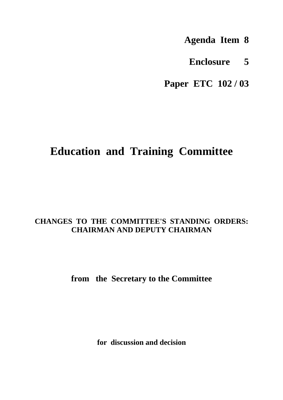- **Agenda Item 8**
	- **Enclosure 5**

**Paper ETC 102 / 03**

## **Education and Training Committee**

## **CHANGES TO THE COMMITTEE'S STANDING ORDERS: CHAIRMAN AND DEPUTY CHAIRMAN**

**from the Secretary to the Committee**

**for discussion and decision**